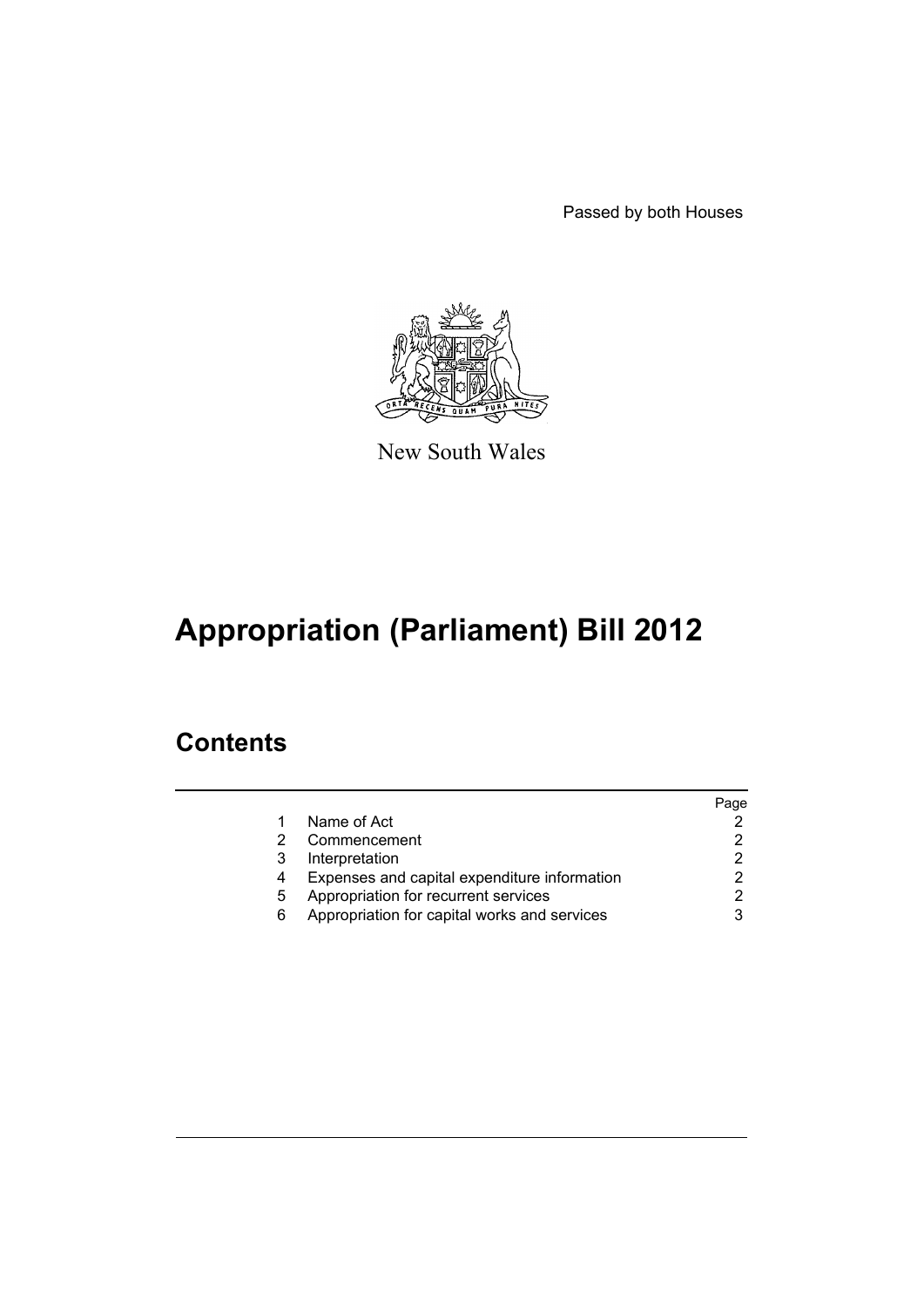Passed by both Houses



New South Wales

# **Appropriation (Parliament) Bill 2012**

### **Contents**

|   |                                              | Page |
|---|----------------------------------------------|------|
|   | Name of Act                                  |      |
|   | Commencement                                 |      |
| 3 | Interpretation                               |      |
| 4 | Expenses and capital expenditure information |      |
| 5 | Appropriation for recurrent services         |      |
| 6 | Appropriation for capital works and services |      |
|   |                                              |      |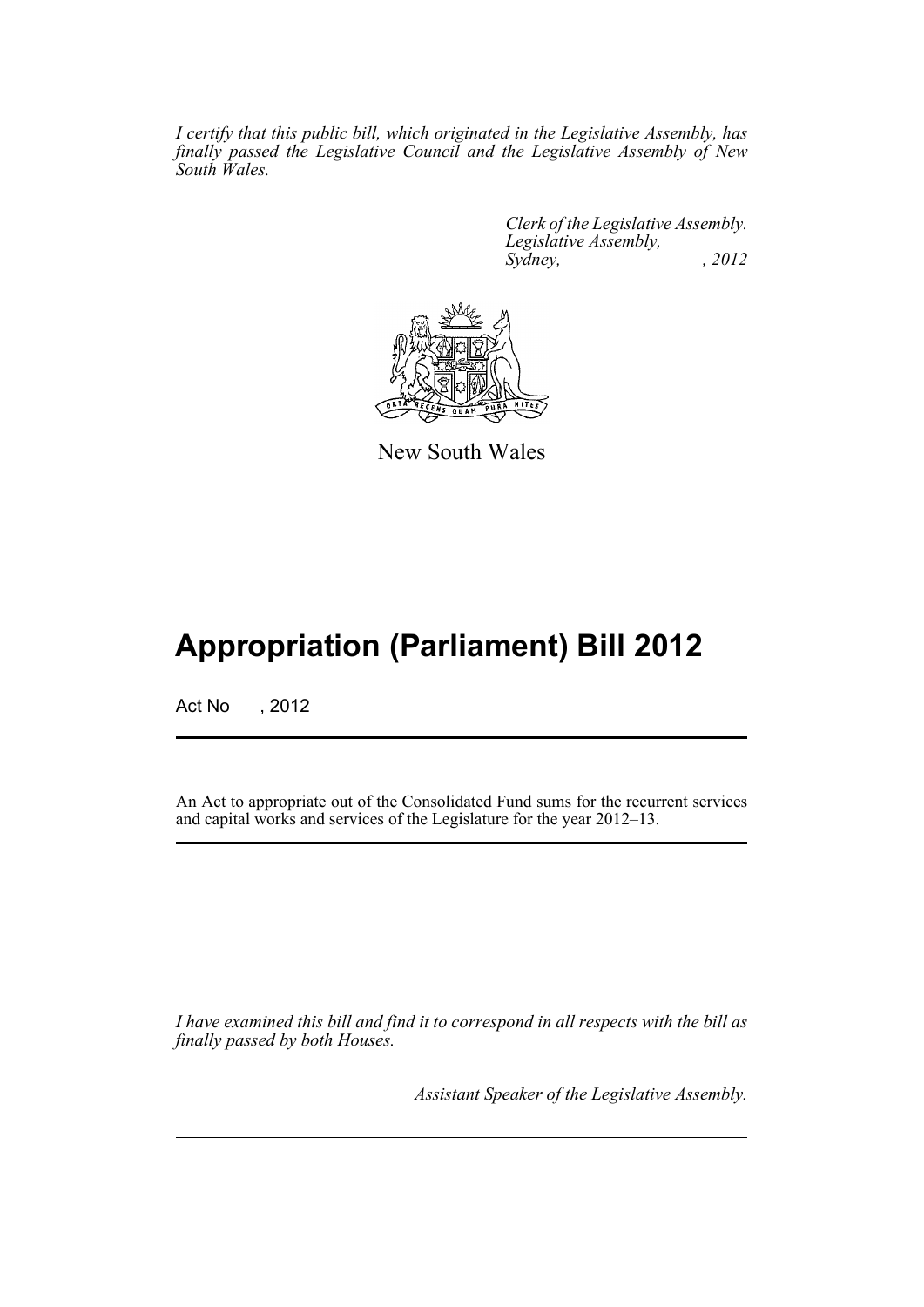*I certify that this public bill, which originated in the Legislative Assembly, has finally passed the Legislative Council and the Legislative Assembly of New South Wales.*

> *Clerk of the Legislative Assembly. Legislative Assembly, Sydney, , 2012*



New South Wales

## **Appropriation (Parliament) Bill 2012**

Act No , 2012

An Act to appropriate out of the Consolidated Fund sums for the recurrent services and capital works and services of the Legislature for the year 2012–13.

*I have examined this bill and find it to correspond in all respects with the bill as finally passed by both Houses.*

*Assistant Speaker of the Legislative Assembly.*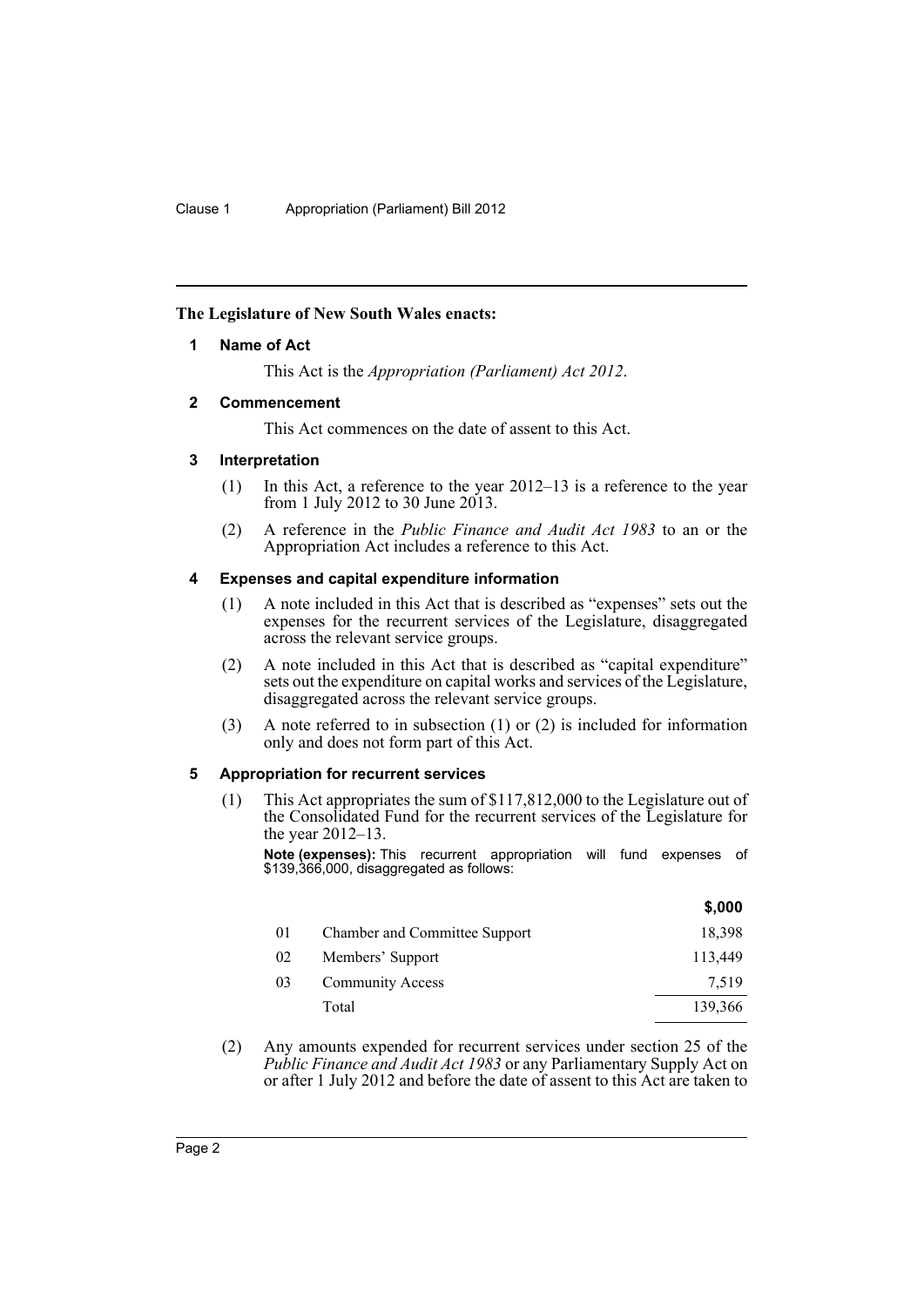#### <span id="page-3-0"></span>**The Legislature of New South Wales enacts:**

#### **1 Name of Act**

This Act is the *Appropriation (Parliament) Act 2012*.

#### <span id="page-3-1"></span>**2 Commencement**

This Act commences on the date of assent to this Act.

#### <span id="page-3-2"></span>**3 Interpretation**

- (1) In this Act, a reference to the year 2012–13 is a reference to the year from 1 July 2012 to 30 June 2013.
- (2) A reference in the *Public Finance and Audit Act 1983* to an or the Appropriation Act includes a reference to this Act.

#### <span id="page-3-3"></span>**4 Expenses and capital expenditure information**

- (1) A note included in this Act that is described as "expenses" sets out the expenses for the recurrent services of the Legislature, disaggregated across the relevant service groups.
- (2) A note included in this Act that is described as "capital expenditure" sets out the expenditure on capital works and services of the Legislature, disaggregated across the relevant service groups.
- (3) A note referred to in subsection (1) or (2) is included for information only and does not form part of this Act.

#### <span id="page-3-4"></span>**5 Appropriation for recurrent services**

(1) This Act appropriates the sum of \$117,812,000 to the Legislature out of the Consolidated Fund for the recurrent services of the Legislature for the year 2012–13.

**Note (expenses):** This recurrent appropriation will fund expenses of \$139,366,000, disaggregated as follows:

|    |                               | \$,000  |
|----|-------------------------------|---------|
| 01 | Chamber and Committee Support | 18,398  |
| 02 | Members' Support              | 113,449 |
| 03 | <b>Community Access</b>       | 7,519   |
|    | Total                         | 139,366 |
|    |                               |         |

(2) Any amounts expended for recurrent services under section 25 of the *Public Finance and Audit Act 1983* or any Parliamentary Supply Act on or after 1 July 2012 and before the date of assent to this Act are taken to